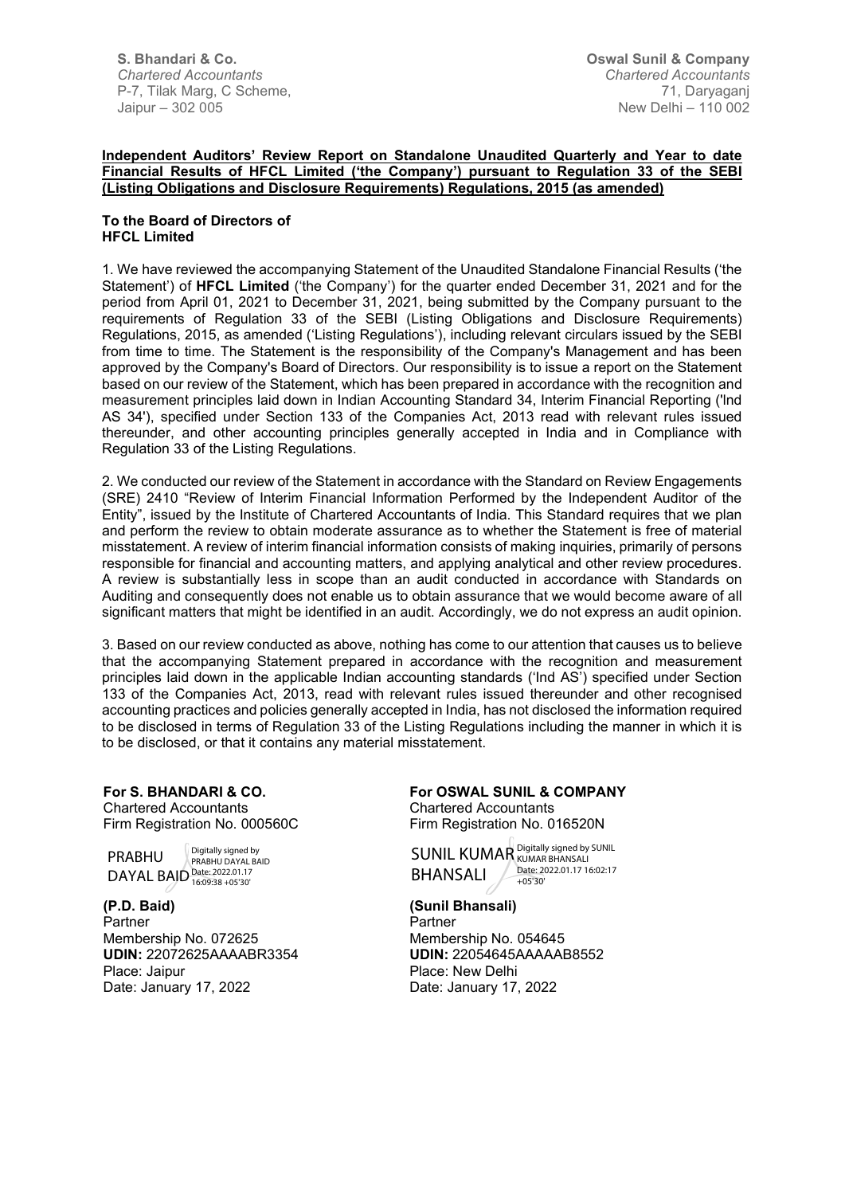S. Bhandari & Co. *Chartered Accountants*  P-7, Tilak Marg, C Scheme, Jaipur – 302 005

#### Independent Auditors' Review Report on Standalone Unaudited Quarterly and Year to date Financial Results of HFCL Limited ('the Company') pursuant to Regulation 33 of the SEBI (Listing Obligations and Disclosure Requirements) Regulations, 2015 (as amended)

# To the Board of Directors of HFCL Limited

1. We have reviewed the accompanying Statement of the Unaudited Standalone Financial Results ('the Statement') of HFCL Limited ('the Company') for the quarter ended December 31, 2021 and for the period from April 01, 2021 to December 31, 2021, being submitted by the Company pursuant to the requirements of Regulation 33 of the SEBI (Listing Obligations and Disclosure Requirements) Regulations, 2015, as amended ('Listing Regulations'), including relevant circulars issued by the SEBI from time to time. The Statement is the responsibility of the Company's Management and has been approved by the Company's Board of Directors. Our responsibility is to issue a report on the Statement based on our review of the Statement, which has been prepared in accordance with the recognition and measurement principles laid down in Indian Accounting Standard 34, Interim Financial Reporting ('lnd AS 34'), specified under Section 133 of the Companies Act, 2013 read with relevant rules issued thereunder, and other accounting principles generally accepted in India and in Compliance with Regulation 33 of the Listing Regulations.

2. We conducted our review of the Statement in accordance with the Standard on Review Engagements (SRE) 2410 "Review of Interim Financial Information Performed by the Independent Auditor of the Entity", issued by the Institute of Chartered Accountants of India. This Standard requires that we plan and perform the review to obtain moderate assurance as to whether the Statement is free of material misstatement. A review of interim financial information consists of making inquiries, primarily of persons responsible for financial and accounting matters, and applying analytical and other review procedures. A review is substantially less in scope than an audit conducted in accordance with Standards on Auditing and consequently does not enable us to obtain assurance that we would become aware of all significant matters that might be identified in an audit. Accordingly, we do not express an audit opinion.

3. Based on our review conducted as above, nothing has come to our attention that causes us to believe that the accompanying Statement prepared in accordance with the recognition and measurement principles laid down in the applicable Indian accounting standards ('Ind AS') specified under Section 133 of the Companies Act, 2013, read with relevant rules issued thereunder and other recognised accounting practices and policies generally accepted in India, has not disclosed the information required to be disclosed in terms of Regulation 33 of the Listing Regulations including the manner in which it is to be disclosed, or that it contains any material misstatement.

For S. BHANDARI & CO. Chartered Accountants Firm Registration No. 000560C

PRABHU DAYAL BAID Date: 2022.01.17 Digitally signed by PRABHU DAYAL BAID

(P.D. Baid) Partner Membership No. 072625 UDIN: 22072625AAAABR3354 Place: Jaipur Date: January 17, 2022

For OSWAL SUNIL & COMPANY Chartered Accountants Firm Registration No. 016520N

SUNIL KUMAR Digitally signed by SUNIL BHANSALI Date: 2022.01.17 16:02:17 +05'30'

(Sunil Bhansali) Partner Membership No. 054645 UDIN: 22054645AAAAAB8552 Place: New Delhi Date: January 17, 2022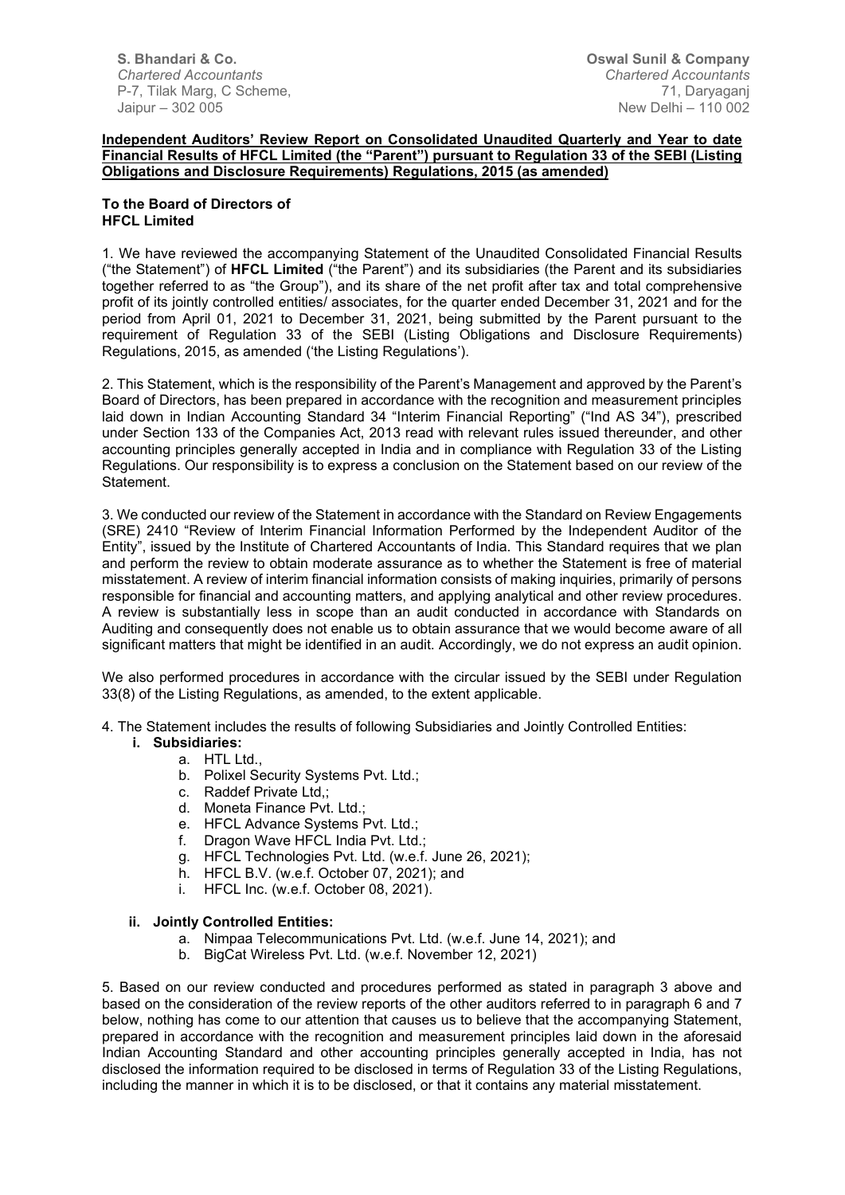#### Independent Auditors' Review Report on Consolidated Unaudited Quarterly and Year to date Financial Results of HFCL Limited (the "Parent") pursuant to Regulation 33 of the SEBI (Listing Obligations and Disclosure Requirements) Regulations, 2015 (as amended)

#### To the Board of Directors of HFCL Limited

1. We have reviewed the accompanying Statement of the Unaudited Consolidated Financial Results ("the Statement") of HFCL Limited ("the Parent") and its subsidiaries (the Parent and its subsidiaries together referred to as "the Group"), and its share of the net profit after tax and total comprehensive profit of its jointly controlled entities/ associates, for the quarter ended December 31, 2021 and for the period from April 01, 2021 to December 31, 2021, being submitted by the Parent pursuant to the requirement of Regulation 33 of the SEBI (Listing Obligations and Disclosure Requirements) Regulations, 2015, as amended ('the Listing Regulations').

2. This Statement, which is the responsibility of the Parent's Management and approved by the Parent's Board of Directors, has been prepared in accordance with the recognition and measurement principles laid down in Indian Accounting Standard 34 "Interim Financial Reporting" ("Ind AS 34"), prescribed under Section 133 of the Companies Act, 2013 read with relevant rules issued thereunder, and other accounting principles generally accepted in India and in compliance with Regulation 33 of the Listing Regulations. Our responsibility is to express a conclusion on the Statement based on our review of the Statement.

3. We conducted our review of the Statement in accordance with the Standard on Review Engagements (SRE) 2410 "Review of Interim Financial Information Performed by the Independent Auditor of the Entity", issued by the Institute of Chartered Accountants of India. This Standard requires that we plan and perform the review to obtain moderate assurance as to whether the Statement is free of material misstatement. A review of interim financial information consists of making inquiries, primarily of persons responsible for financial and accounting matters, and applying analytical and other review procedures. A review is substantially less in scope than an audit conducted in accordance with Standards on Auditing and consequently does not enable us to obtain assurance that we would become aware of all significant matters that might be identified in an audit. Accordingly, we do not express an audit opinion.

We also performed procedures in accordance with the circular issued by the SEBI under Regulation 33(8) of the Listing Regulations, as amended, to the extent applicable.

4. The Statement includes the results of following Subsidiaries and Jointly Controlled Entities:

- i. Subsidiaries:
	- a. HTL Ltd.,
	- b. Polixel Security Systems Pvt. Ltd.;
	- c. Raddef Private Ltd,;
	- d. Moneta Finance Pvt. Ltd.;
	- e. HFCL Advance Systems Pvt. Ltd.;
	- f. Dragon Wave HFCL India Pvt. Ltd.;
	- g. HFCL Technologies Pvt. Ltd. (w.e.f. June 26, 2021);
	- h. HFCL B.V. (w.e.f. October 07, 2021); and
	- i. HFCL Inc. (w.e.f. October 08, 2021).

### ii. Jointly Controlled Entities:

- a. Nimpaa Telecommunications Pvt. Ltd. (w.e.f. June 14, 2021); and
- b. BigCat Wireless Pvt. Ltd. (w.e.f. November 12, 2021)

5. Based on our review conducted and procedures performed as stated in paragraph 3 above and based on the consideration of the review reports of the other auditors referred to in paragraph 6 and 7 below, nothing has come to our attention that causes us to believe that the accompanying Statement, prepared in accordance with the recognition and measurement principles laid down in the aforesaid Indian Accounting Standard and other accounting principles generally accepted in India, has not disclosed the information required to be disclosed in terms of Regulation 33 of the Listing Regulations, including the manner in which it is to be disclosed, or that it contains any material misstatement.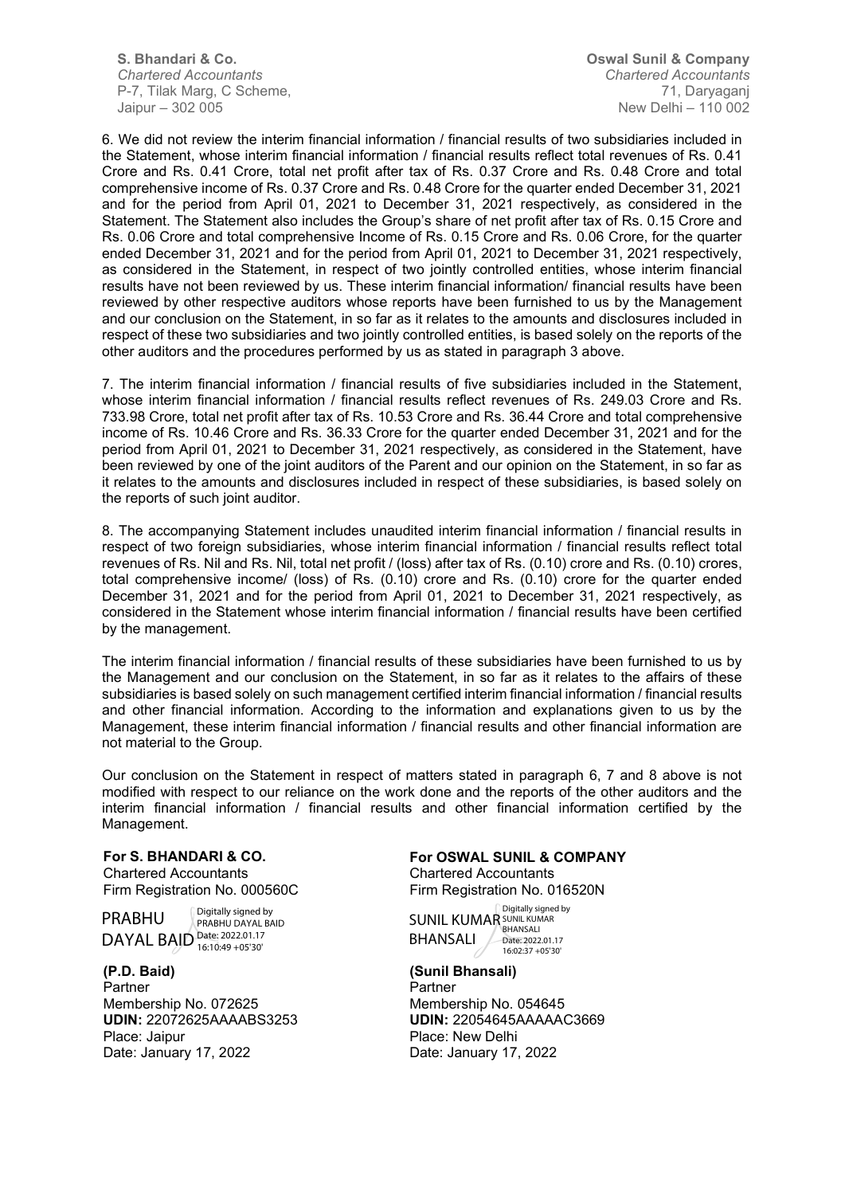S. Bhandari & Co. *Chartered Accountants* P-7, Tilak Marg, C Scheme, Jaipur – 302 005

Oswal Sunil & Company *Chartered Accountants*  71, Daryaganj New Delhi – 110 002

6. We did not review the interim financial information / financial results of two subsidiaries included in the Statement, whose interim financial information / financial results reflect total revenues of Rs. 0.41 Crore and Rs. 0.41 Crore, total net profit after tax of Rs. 0.37 Crore and Rs. 0.48 Crore and total comprehensive income of Rs. 0.37 Crore and Rs. 0.48 Crore for the quarter ended December 31, 2021 and for the period from April 01, 2021 to December 31, 2021 respectively, as considered in the Statement. The Statement also includes the Group's share of net profit after tax of Rs. 0.15 Crore and Rs. 0.06 Crore and total comprehensive Income of Rs. 0.15 Crore and Rs. 0.06 Crore, for the quarter ended December 31, 2021 and for the period from April 01, 2021 to December 31, 2021 respectively, as considered in the Statement, in respect of two jointly controlled entities, whose interim financial results have not been reviewed by us. These interim financial information/ financial results have been reviewed by other respective auditors whose reports have been furnished to us by the Management and our conclusion on the Statement, in so far as it relates to the amounts and disclosures included in respect of these two subsidiaries and two jointly controlled entities, is based solely on the reports of the other auditors and the procedures performed by us as stated in paragraph 3 above.

7. The interim financial information / financial results of five subsidiaries included in the Statement, whose interim financial information / financial results reflect revenues of Rs. 249.03 Crore and Rs. 733.98 Crore, total net profit after tax of Rs. 10.53 Crore and Rs. 36.44 Crore and total comprehensive income of Rs. 10.46 Crore and Rs. 36.33 Crore for the quarter ended December 31, 2021 and for the period from April 01, 2021 to December 31, 2021 respectively, as considered in the Statement, have been reviewed by one of the joint auditors of the Parent and our opinion on the Statement, in so far as it relates to the amounts and disclosures included in respect of these subsidiaries, is based solely on the reports of such joint auditor.

8. The accompanying Statement includes unaudited interim financial information / financial results in respect of two foreign subsidiaries, whose interim financial information / financial results reflect total revenues of Rs. Nil and Rs. Nil, total net profit / (loss) after tax of Rs. (0.10) crore and Rs. (0.10) crores, total comprehensive income/ (loss) of Rs. (0.10) crore and Rs. (0.10) crore for the quarter ended December 31, 2021 and for the period from April 01, 2021 to December 31, 2021 respectively, as considered in the Statement whose interim financial information / financial results have been certified by the management.

The interim financial information / financial results of these subsidiaries have been furnished to us by the Management and our conclusion on the Statement, in so far as it relates to the affairs of these subsidiaries is based solely on such management certified interim financial information / financial results and other financial information. According to the information and explanations given to us by the Management, these interim financial information / financial results and other financial information are not material to the Group.

Our conclusion on the Statement in respect of matters stated in paragraph 6, 7 and 8 above is not modified with respect to our reliance on the work done and the reports of the other auditors and the interim financial information / financial results and other financial information certified by the Management.

# For S. BHANDARI & CO.

Chartered Accountants Firm Registration No. 000560C

PRABHU DAYAL BAID Date: 2022.01.17

Digitally signed by PRABHU DAYAL BAID 16:10:49 +05'30'

(P.D. Baid) Partner Membership No. 072625 UDIN: 22072625AAAABS3253 Place: Jaipur Date: January 17, 2022

# For OSWAL SUNIL & COMPANY

Chartered Accountants Firm Registration No. 016520N

SUNIL KUMAR SUNIL KUMAR BHANSALI Digitally signed by **BHANSALI** Date: 2022.01.17 16:02:37 +05'30'

(Sunil Bhansali) **Partner** Membership No. 054645 UDIN: 22054645AAAAAC3669 Place: New Delhi Date: January 17, 2022